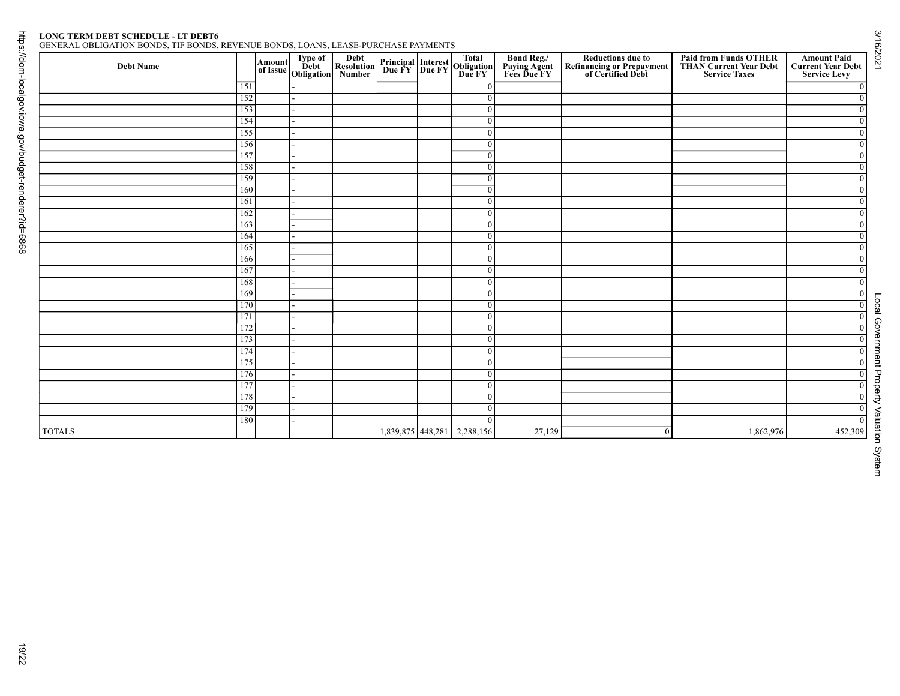# Page 19<br>LONG TERM DEBT SCHEDULE - LT DEBT6

| ENERAL OBLIGATION BONDS. TIF BONDS. REVENUE BONDS. LOANS. LEASE-PURCHASE PAYMENTS |
|-----------------------------------------------------------------------------------|
|-----------------------------------------------------------------------------------|

|               |            |  | Amount Type of Debt<br>of Issue Obligation<br>Number |                             | <b>Principal Interest Total<br/>Due FY Due FY Due FY</b> | <b>Bond Reg./<br/>Paying Agent<br/>Fees Due FY</b> | <b>Reductions due to<br/>Refinancing or Prepayment<br/>of Certified Debt</b> | <b>Paid from Funds OTHER<br/>THAN Current Year Debt</b><br><b>Service Taxes</b> | <b>Amount Paid</b><br><b>Current Year Debt</b><br><b>Service Levy</b> |
|---------------|------------|--|------------------------------------------------------|-----------------------------|----------------------------------------------------------|----------------------------------------------------|------------------------------------------------------------------------------|---------------------------------------------------------------------------------|-----------------------------------------------------------------------|
|               | 151        |  |                                                      |                             | $\overline{0}$                                           |                                                    |                                                                              |                                                                                 | $\bf{0}$                                                              |
|               | 152        |  |                                                      |                             | $\overline{0}$                                           |                                                    |                                                                              |                                                                                 | $\overline{0}$                                                        |
|               | 153        |  |                                                      |                             | $\overline{0}$                                           |                                                    |                                                                              |                                                                                 | $\overline{0}$                                                        |
|               | 154        |  |                                                      |                             | $\overline{0}$                                           |                                                    |                                                                              |                                                                                 | $\overline{0}$                                                        |
|               | 155<br>156 |  |                                                      |                             | $\overline{0}$<br>$\overline{0}$                         |                                                    |                                                                              |                                                                                 | $\mathbf{0}$<br>$\overline{0}$                                        |
|               | 157        |  |                                                      |                             | $\overline{0}$                                           |                                                    |                                                                              |                                                                                 | $\overline{0}$                                                        |
|               | 158        |  |                                                      |                             | $\overline{0}$                                           |                                                    |                                                                              |                                                                                 | $\overline{0}$                                                        |
|               | 159        |  |                                                      |                             | $\overline{0}$                                           |                                                    |                                                                              |                                                                                 | $\overline{0}$                                                        |
|               | 160        |  |                                                      |                             | $\overline{0}$                                           |                                                    |                                                                              |                                                                                 | $\overline{0}$                                                        |
|               | 161        |  |                                                      |                             | $\mathbf{0}$                                             |                                                    |                                                                              |                                                                                 | $\mathbf{0}$                                                          |
|               | 162        |  |                                                      |                             | $\overline{0}$                                           |                                                    |                                                                              |                                                                                 | $\overline{0}$                                                        |
|               | 163        |  |                                                      |                             | $\overline{0}$                                           |                                                    |                                                                              |                                                                                 | $\overline{0}$                                                        |
|               | 164        |  |                                                      |                             | $\overline{0}$                                           |                                                    |                                                                              |                                                                                 | $\overline{0}$                                                        |
|               | 165        |  |                                                      |                             | $\overline{0}$                                           |                                                    |                                                                              |                                                                                 | $\mathbf{0}$                                                          |
|               | 166        |  |                                                      |                             | $\overline{0}$                                           |                                                    |                                                                              |                                                                                 | $\overline{0}$                                                        |
|               | 167        |  |                                                      |                             | $\overline{0}$                                           |                                                    |                                                                              |                                                                                 | $\overline{0}$<br>$\bf{0}$                                            |
|               | 168        |  |                                                      |                             | $\overline{0}$                                           |                                                    |                                                                              |                                                                                 |                                                                       |
|               | 169<br>170 |  |                                                      |                             | $\overline{0}$<br>$\overline{0}$                         |                                                    |                                                                              |                                                                                 | $\overline{0}$                                                        |
|               | 171        |  |                                                      |                             | $\overline{0}$                                           |                                                    |                                                                              |                                                                                 | $\overline{0}$<br>$\overline{0}$                                      |
|               | 172        |  |                                                      |                             | $\overline{0}$                                           |                                                    |                                                                              |                                                                                 | $\overline{0}$                                                        |
|               | 173        |  |                                                      |                             | $\overline{0}$                                           |                                                    |                                                                              |                                                                                 | $\overline{0}$                                                        |
|               | 174        |  |                                                      |                             | $\overline{0}$                                           |                                                    |                                                                              |                                                                                 | $\overline{0}$                                                        |
|               | 175        |  |                                                      |                             | $\overline{0}$                                           |                                                    |                                                                              |                                                                                 | $\overline{0}$                                                        |
|               | 176        |  |                                                      |                             | $\overline{0}$                                           |                                                    |                                                                              |                                                                                 | $\overline{0}$                                                        |
|               | 177        |  |                                                      |                             | $\mathbf{0}$                                             |                                                    |                                                                              |                                                                                 | $\overline{0}$                                                        |
|               | 178        |  |                                                      |                             | $\overline{0}$                                           |                                                    |                                                                              |                                                                                 | $\overline{0}$                                                        |
|               | 179        |  |                                                      |                             | $\boldsymbol{0}$                                         |                                                    |                                                                              |                                                                                 | $\overline{0}$                                                        |
|               | 180        |  |                                                      |                             | $\bf{0}$                                                 |                                                    |                                                                              |                                                                                 | $\overline{0}$                                                        |
| <b>TOTALS</b> |            |  |                                                      | 1,839,875 448,281 2,288,156 |                                                          | 27,129                                             | $\mathbf{0}$                                                                 | 1,862,976                                                                       | 452,309                                                               |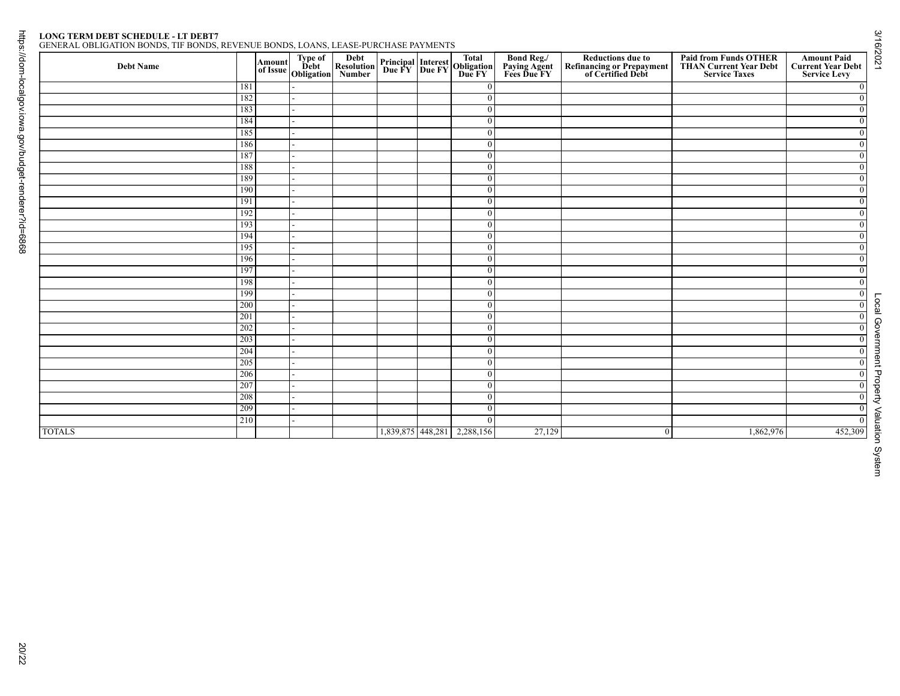# Page 20<br>LONG TERM DEBT SCHEDULE - LT DEBT7

|--|

|               |            |  | Amount Type of Debt<br>of Issue Obligation<br>Number |                             | <b>Principal Interest Total<br/>Due FY Due FY Due FY</b> | <b>Bond Reg./<br/>Paying Agent<br/>Fees Due FY</b> | <b>Reductions due to<br/>Refinancing or Prepayment<br/>of Certified Debt</b> | <b>Paid from Funds OTHER<br/>THAN Current Year Debt</b><br><b>Service Taxes</b> | <b>Amount Paid</b><br><b>Current Year Debt</b><br><b>Service Levy</b> |
|---------------|------------|--|------------------------------------------------------|-----------------------------|----------------------------------------------------------|----------------------------------------------------|------------------------------------------------------------------------------|---------------------------------------------------------------------------------|-----------------------------------------------------------------------|
|               | 181        |  |                                                      |                             | $\overline{0}$                                           |                                                    |                                                                              |                                                                                 | $\bf{0}$                                                              |
|               | 182        |  |                                                      |                             | $\overline{0}$                                           |                                                    |                                                                              |                                                                                 | $\overline{0}$                                                        |
|               | 183        |  |                                                      |                             | $\overline{0}$                                           |                                                    |                                                                              |                                                                                 | $\overline{0}$                                                        |
|               | 184<br>185 |  |                                                      |                             | $\overline{0}$                                           |                                                    |                                                                              |                                                                                 | $\overline{0}$                                                        |
|               | 186        |  |                                                      |                             | $\overline{0}$<br>$\overline{0}$                         |                                                    |                                                                              |                                                                                 | $\mathbf{0}$<br>$\overline{0}$                                        |
|               | 187        |  |                                                      |                             | $\overline{0}$                                           |                                                    |                                                                              |                                                                                 | $\overline{0}$                                                        |
|               | 188        |  |                                                      |                             | $\overline{0}$                                           |                                                    |                                                                              |                                                                                 | $\overline{0}$                                                        |
|               | 189        |  |                                                      |                             | $\overline{0}$                                           |                                                    |                                                                              |                                                                                 | $\overline{0}$                                                        |
|               | 190        |  |                                                      |                             | $\overline{0}$                                           |                                                    |                                                                              |                                                                                 | $\overline{0}$                                                        |
|               | 191        |  |                                                      |                             | $\mathbf{0}$                                             |                                                    |                                                                              |                                                                                 | $\mathbf{0}$                                                          |
|               | 192        |  |                                                      |                             | $\overline{0}$                                           |                                                    |                                                                              |                                                                                 | $\overline{0}$                                                        |
|               | 193        |  |                                                      |                             | $\overline{0}$                                           |                                                    |                                                                              |                                                                                 | $\overline{0}$                                                        |
|               | 194        |  |                                                      |                             | $\overline{0}$                                           |                                                    |                                                                              |                                                                                 | $\overline{0}$                                                        |
|               | 195        |  |                                                      |                             | $\overline{0}$                                           |                                                    |                                                                              |                                                                                 | $\mathbf{0}$                                                          |
|               | 196        |  |                                                      |                             | $\overline{0}$                                           |                                                    |                                                                              |                                                                                 | $\overline{0}$                                                        |
|               | 197<br>198 |  |                                                      |                             | $\overline{0}$<br>$\overline{0}$                         |                                                    |                                                                              |                                                                                 | $\overline{0}$                                                        |
|               | 199        |  |                                                      |                             | $\overline{0}$                                           |                                                    |                                                                              |                                                                                 | $\bf{0}$<br>$\overline{0}$                                            |
|               | 200        |  |                                                      |                             | $\overline{0}$                                           |                                                    |                                                                              |                                                                                 | $\overline{0}$                                                        |
|               | 201        |  |                                                      |                             | $\overline{0}$                                           |                                                    |                                                                              |                                                                                 | $\overline{0}$                                                        |
|               | 202        |  |                                                      |                             | $\overline{0}$                                           |                                                    |                                                                              |                                                                                 | $\overline{0}$                                                        |
|               | 203        |  |                                                      |                             | $\overline{0}$                                           |                                                    |                                                                              |                                                                                 | $\overline{0}$                                                        |
|               | 204        |  |                                                      |                             | $\overline{0}$                                           |                                                    |                                                                              |                                                                                 | $\overline{0}$                                                        |
|               | 205        |  |                                                      |                             | $\overline{0}$                                           |                                                    |                                                                              |                                                                                 | $\overline{0}$                                                        |
|               | 206        |  |                                                      |                             | $\overline{0}$                                           |                                                    |                                                                              |                                                                                 | $\overline{0}$                                                        |
|               | 207        |  |                                                      |                             | $\mathbf{0}$                                             |                                                    |                                                                              |                                                                                 | $\overline{0}$                                                        |
|               | 208        |  |                                                      |                             | $\overline{0}$                                           |                                                    |                                                                              |                                                                                 | $\overline{0}$                                                        |
|               | 209        |  |                                                      |                             | $\boldsymbol{0}$                                         |                                                    |                                                                              |                                                                                 | $\overline{0}$                                                        |
|               | 210        |  |                                                      |                             | $\bf{0}$                                                 | 27,129                                             |                                                                              | 1,862,976                                                                       | $\overline{0}$<br>452,309                                             |
| <b>TOTALS</b> |            |  |                                                      | 1,839,875 448,281 2,288,156 |                                                          |                                                    | $\mathbf{0}$                                                                 |                                                                                 |                                                                       |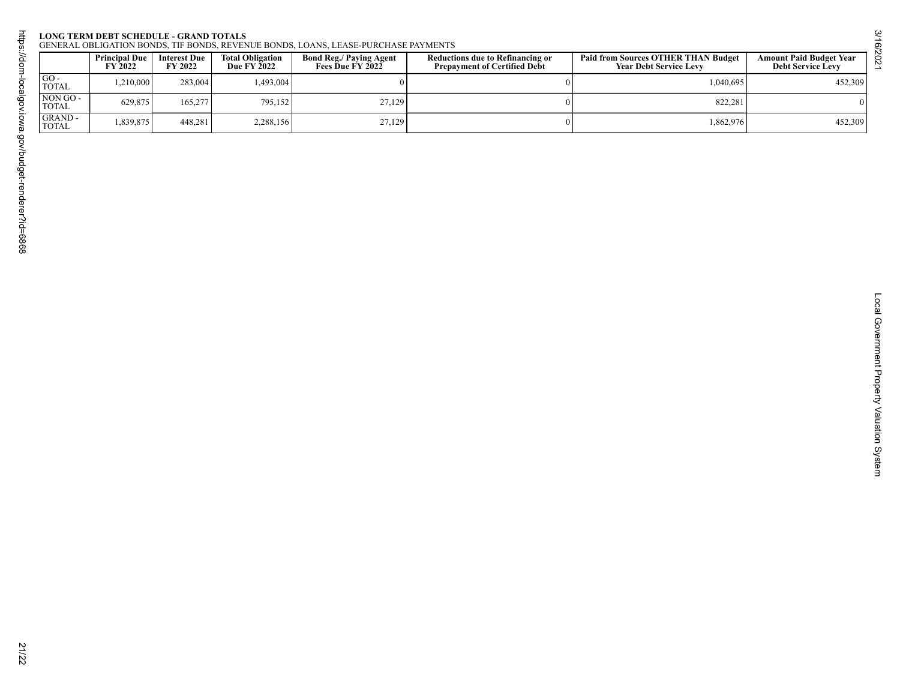## Page 21

| $GO -$                            | <b>Principal Due</b><br>FY 2022 | Interest Due<br>FY 2022 | Total Obligation<br>Due FY 2022 | <b>Bond Reg./ Paying Agent<br/>Fees Due FY 2022</b> | <b>Reductions due to Refinancing or<br/>Prepayment of Certified Debt</b> | Paid from Sources OTHER THAN Budget<br>Year Debt Service Levy | <b>Amount Paid Budget Year<br/>Debt Service Levy</b> |
|-----------------------------------|---------------------------------|-------------------------|---------------------------------|-----------------------------------------------------|--------------------------------------------------------------------------|---------------------------------------------------------------|------------------------------------------------------|
| <b>TOTAL</b>                      | 1,210,000                       | 283,004                 | 1,493,004                       | $\boldsymbol{0}$                                    | $\bf{0}$                                                                 | 1,040,695                                                     | 452,309                                              |
| NON GO-<br>$\operatorname{TOTAL}$ | 629,875                         | 165,277                 | 795,152                         | 27,129                                              | $\overline{0}$                                                           | 822,281                                                       | $\boldsymbol{0}$                                     |
| GRAND-<br><b>TOTAL</b>            | 1,839,875                       | 448,281                 | 2,288,156                       | 27,129                                              | $\bf{0}$                                                                 | 1,862,976                                                     | 452,309                                              |
|                                   |                                 |                         |                                 |                                                     |                                                                          |                                                               |                                                      |
|                                   |                                 |                         |                                 |                                                     |                                                                          |                                                               |                                                      |
|                                   |                                 |                         |                                 |                                                     |                                                                          |                                                               |                                                      |

3/16/2021